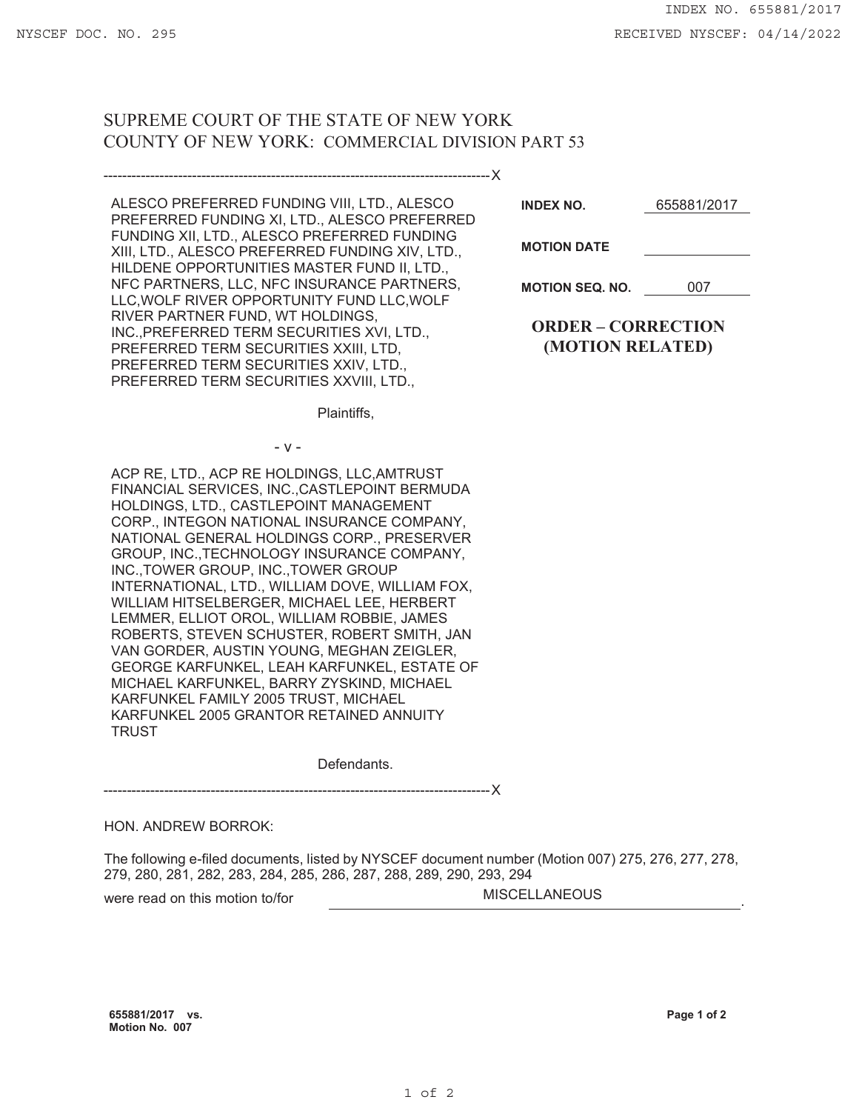## SUPREME COURT OF THE STATE OF NEW YORK COUNTY OF NEW YORK: COMMERCIAL DIVISION PART 53

-----------------------------------------------------------------------------------X

| ALESCO PREFERRED FUNDING VIII, LTD., ALESCO<br>PREFERRED FUNDING XI, LTD., ALESCO PREFERRED<br>FUNDING XII, LTD., ALESCO PREFERRED FUNDING |
|--------------------------------------------------------------------------------------------------------------------------------------------|
| XIII, LTD., ALESCO PREFERRED FUNDING XIV, LTD.,                                                                                            |
| HILDENE OPPORTUNITIES MASTER FUND II, LTD.,                                                                                                |
| NFC PARTNERS, LLC, NFC INSURANCE PARTNERS,                                                                                                 |
| LLC, WOLF RIVER OPPORTUNITY FUND LLC, WOLF                                                                                                 |
| RIVER PARTNER FUND, WT HOLDINGS,                                                                                                           |
| INC., PREFERRED TERM SECURITIES XVI, LTD.,                                                                                                 |
| PREFERRED TERM SECURITIES XXIII, LTD,                                                                                                      |
| PREFERRED TERM SECURITIES XXIV, LTD.,                                                                                                      |
| PREFERRED TERM SECURITIES XXVIII, LTD.,                                                                                                    |

**INDEX NO.** 655881/2017

**MOTION DATE**

**MOTION SEQ. NO.** 007

**ORDER – CORRECTION (MOTION RELATED)**

Plaintiffs,

ACP RE, LTD., ACP RE HOLDINGS, LLC,AMTRUST FINANCIAL SERVICES, INC.,CASTLEPOINT BERMUDA HOLDINGS, LTD., CASTLEPOINT MANAGEMENT CORP., INTEGON NATIONAL INSURANCE COMPANY, NATIONAL GENERAL HOLDINGS CORP., PRESERVER GROUP, INC.,TECHNOLOGY INSURANCE COMPANY, INC.,TOWER GROUP, INC.,TOWER GROUP INTERNATIONAL, LTD., WILLIAM DOVE, WILLIAM FOX, WILLIAM HITSELBERGER, MICHAEL LEE, HERBERT LEMMER, ELLIOT OROL, WILLIAM ROBBIE, JAMES ROBERTS, STEVEN SCHUSTER, ROBERT SMITH, JAN VAN GORDER, AUSTIN YOUNG, MEGHAN ZEIGLER, GEORGE KARFUNKEL, LEAH KARFUNKEL, ESTATE OF MICHAEL KARFUNKEL, BARRY ZYSKIND, MICHAEL KARFUNKEL FAMILY 2005 TRUST, MICHAEL KARFUNKEL 2005 GRANTOR RETAINED ANNUITY **TRUST** 

- v -

Defendants.

-----------------------------------------------------------------------------------X

## HON. ANDREW BORROK:

The following e-filed documents, listed by NYSCEF document number (Motion 007) 275, 276, 277, 278, 279, 280, 281, 282, 283, 284, 285, 286, 287, 288, 289, 290, 293, 294

were read on this motion to/for **MISCELLANEOUS** 

**655881/2017 vs. Motion No. 007**

**Page 1 of 2**